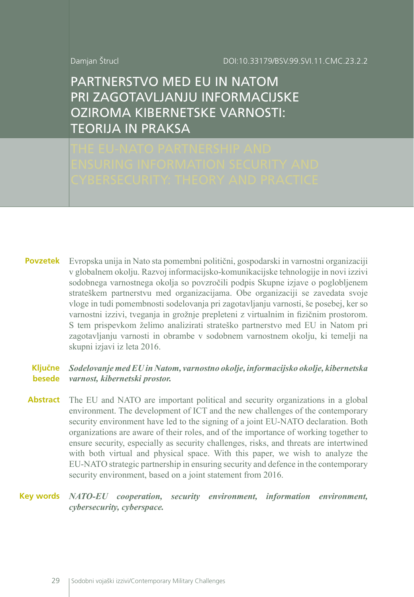DOI:10.33179/BSV.99.SVI.11.CMC.23.2.2

Damjan Štrucl

PARTNERSTVO MED EU IN NATOM PRI ZAGOTAVLJANJU INFORMACIJSKE OZIROMA KIBERNETSKE VARNOSTI: TEORIJA IN PRAKSA

Evropska unija in Nato sta pomembni politični, gospodarski in varnostni organizaciji v globalnem okolju. Razvoj informacijsko-komunikacijske tehnologije in novi izzivi sodobnega varnostnega okolja so povzročili podpis Skupne izjave o poglobljenem strateškem partnerstvu med organizacijama. Obe organizaciji se zavedata svoje vloge in tudi pomembnosti sodelovanja pri zagotavljanju varnosti, še posebej, ker so varnostni izzivi, tveganja in grožnje prepleteni z virtualnim in fizičnim prostorom. S tem prispevkom želimo analizirati strateško partnerstvo med EU in Natom pri zagotavljanju varnosti in obrambe v sodobnem varnostnem okolju, ki temelji na skupni izjavi iz leta 2016. **Povzetek**

#### *Sodelovanje med EU in Natom, varnostno okolje, informacijsko okolje, kibernetska varnost, kibernetski prostor.* **Ključne besede**

The EU and NATO are important political and security organizations in a global environment. The development of ICT and the new challenges of the contemporary security environment have led to the signing of a joint EU-NATO declaration. Both organizations are aware of their roles, and of the importance of working together to ensure security, especially as security challenges, risks, and threats are intertwined with both virtual and physical space. With this paper, we wish to analyze the EU-NATO strategic partnership in ensuring security and defence in the contemporary security environment, based on a joint statement from 2016. **Abstract**

*NATO-EU cooperation, security environment, information environment,*  **Key words** *cybersecurity, cyberspace.*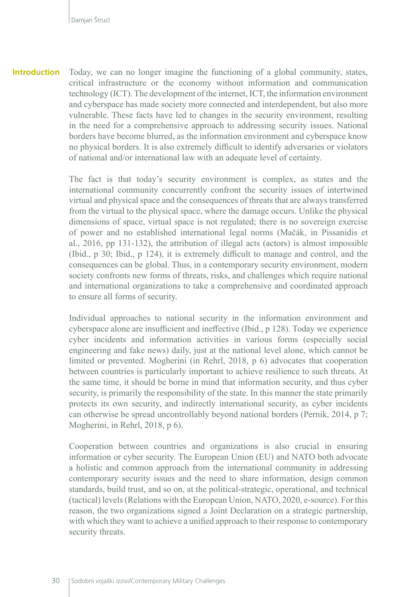**Introduction** Today, we can no longer imagine the functioning of a global community, states, critical infrastructure or the economy without information and communication technology (ICT). The development of the internet, ICT, the information environment and cyberspace has made society more connected and interdependent, but also more vulnerable. These facts have led to changes in the security environment, resulting in the need for a comprehensive approach to addressing security issues. National borders have become blurred, as the information environment and cyberspace know no physical borders. It is also extremely difficult to identify adversaries or violators of national and/or international law with an adequate level of certainty.

> The fact is that today's security environment is complex, as states and the international community concurrently confront the security issues of intertwined virtual and physical space and the consequences of threats that are always transferred from the virtual to the physical space, where the damage occurs. Unlike the physical dimensions of space, virtual space is not regulated; there is no sovereign exercise of power and no established international legal norms (Mačák, in Pissanidis et al., 2016, pp 131-132), the attribution of illegal acts (actors) is almost impossible (Ibid., p 30; Ibid., p 124), it is extremely difficult to manage and control, and the consequences can be global. Thus, in a contemporary security environment, modern society confronts new forms of threats, risks, and challenges which require national and international organizations to take a comprehensive and coordinated approach to ensure all forms of security.

> Individual approaches to national security in the information environment and cyberspace alone are insufficient and ineffective (Ibid., p 128). Today we experience cyber incidents and information activities in various forms (especially social engineering and fake news) daily, just at the national level alone, which cannot be limited or prevented. Mogherini (in Rehrl, 2018, p 6) advocates that cooperation between countries is particularly important to achieve resilience to such threats. At the same time, it should be borne in mind that information security, and thus cyber security, is primarily the responsibility of the state. In this manner the state primarily protects its own security, and indirectly international security, as cyber incidents can otherwise be spread uncontrollably beyond national borders (Pernik, 2014, p 7; Mogherini, in Rehrl, 2018, p 6).

> Cooperation between countries and organizations is also crucial in ensuring information or cyber security. The European Union (EU) and NATO both advocate a holistic and common approach from the international community in addressing contemporary security issues and the need to share information, design common standards, build trust, and so on, at the political-strategic, operational, and technical (tactical) levels (Relations with the European Union, NATO, 2020, e-source). For this reason, the two organizations signed a Joint Declaration on a strategic partnership, with which they want to achieve a unified approach to their response to contemporary security threats.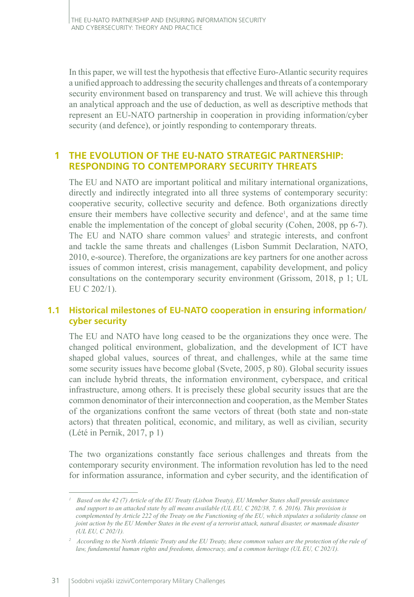In this paper, we will test the hypothesis that effective Euro-Atlantic security requires a unified approach to addressing the security challenges and threats of a contemporary security environment based on transparency and trust. We will achieve this through an analytical approach and the use of deduction, as well as descriptive methods that represent an EU-NATO partnership in cooperation in providing information/cyber security (and defence), or jointly responding to contemporary threats.

## **1 THE EVOLUTION OF THE EU-NATO STRATEGIC PARTNERSHIP: RESPONDING TO CONTEMPORARY SECURITY THREATS**

The EU and NATO are important political and military international organizations, directly and indirectly integrated into all three systems of contemporary security: cooperative security, collective security and defence. Both organizations directly ensure their members have collective security and defence<sup>1</sup>, and at the same time enable the implementation of the concept of global security (Cohen, 2008, pp 6-7). The EU and NATO share common values<sup>2</sup> and strategic interests, and confront and tackle the same threats and challenges (Lisbon Summit Declaration, NATO, 2010, e-source). Therefore, the organizations are key partners for one another across issues of common interest, crisis management, capability development, and policy consultations on the contemporary security environment (Grissom, 2018, p 1; UL EU C 202/1).

## **1.1 Historical milestones of EU-NATO cooperation in ensuring information/ cyber security**

The EU and NATO have long ceased to be the organizations they once were. The changed political environment, globalization, and the development of ICT have shaped global values, sources of threat, and challenges, while at the same time some security issues have become global (Svete, 2005, p 80). Global security issues can include hybrid threats, the information environment, cyberspace, and critical infrastructure, among others. It is precisely these global security issues that are the common denominator of their interconnection and cooperation, as the Member States of the organizations confront the same vectors of threat (both state and non-state actors) that threaten political, economic, and military, as well as civilian, security (Lété in Pernik, 2017, p 1)

The two organizations constantly face serious challenges and threats from the contemporary security environment. The information revolution has led to the need for information assurance, information and cyber security, and the identification of

*<sup>1</sup> Based on the 42 (7) Article of the EU Treaty (Lisbon Treaty), EU Member States shall provide assistance and support to an attacked state by all means available (UL EU, C 202/38, 7. 6. 2016). This provision is complemented by Article 222 of the Treaty on the Functioning of the EU, which stipulates a solidarity clause on joint action by the EU Member States in the event of a terrorist attack, natural disaster, or manmade disaster (UL EU, C 202/1).*

*<sup>2</sup> According to the North Atlantic Treaty and the EU Treaty, these common values are the protection of the rule of law, fundamental human rights and freedoms, democracy, and a common heritage (UL EU, C 202/1).*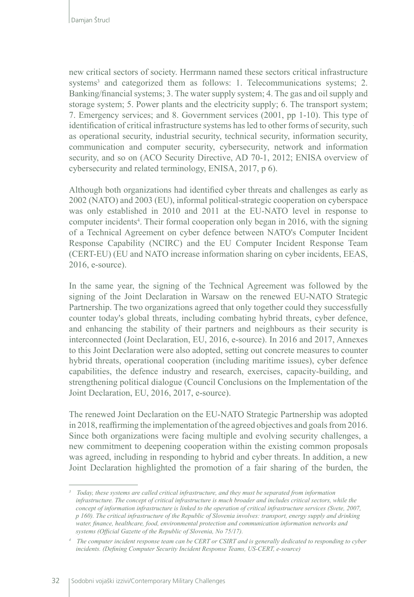new critical sectors of society. Herrmann named these sectors critical infrastructure systems<sup>3</sup> and categorized them as follows: 1. Telecommunications systems; 2. Banking/financial systems; 3. The water supply system; 4. The gas and oil supply and storage system; 5. Power plants and the electricity supply; 6. The transport system; 7. Emergency services; and 8. Government services (2001, pp 1-10). This type of identification of critical infrastructure systems has led to other forms of security, such as operational security, industrial security, technical security, information security, communication and computer security, cybersecurity, network and information security, and so on (ACO Security Directive, AD 70-1, 2012; ENISA overview of cybersecurity and related terminology, ENISA, 2017, p 6).

Although both organizations had identified cyber threats and challenges as early as 2002 (NATO) and 2003 (EU), informal political-strategic cooperation on cyberspace was only established in 2010 and 2011 at the EU-NATO level in response to computer incidents<sup>4</sup>. Their formal cooperation only began in 2016, with the signing of a Technical Agreement on cyber defence between NATO's Computer Incident Response Capability (NCIRC) and the EU Computer Incident Response Team (CERT-EU) (EU and NATO increase information sharing on cyber incidents, EEAS, 2016, e-source).

In the same year, the signing of the Technical Agreement was followed by the signing of the Joint Declaration in Warsaw on the renewed EU-NATO Strategic Partnership. The two organizations agreed that only together could they successfully counter today's global threats, including combating hybrid threats, cyber defence, and enhancing the stability of their partners and neighbours as their security is interconnected (Joint Declaration, EU, 2016, e-source). In 2016 and 2017, Annexes to this Joint Declaration were also adopted, setting out concrete measures to counter hybrid threats, operational cooperation (including maritime issues), cyber defence capabilities, the defence industry and research, exercises, capacity-building, and strengthening political dialogue (Council Conclusions on the Implementation of the Joint Declaration, EU, 2016, 2017, e-source).

The renewed Joint Declaration on the EU-NATO Strategic Partnership was adopted in 2018, reaffirming the implementation of the agreed objectives and goals from 2016. Since both organizations were facing multiple and evolving security challenges, a new commitment to deepening cooperation within the existing common proposals was agreed, including in responding to hybrid and cyber threats. In addition, a new Joint Declaration highlighted the promotion of a fair sharing of the burden, the

*<sup>3</sup> Today, these systems are called critical infrastructure, and they must be separated from information infrastructure. The concept of critical infrastructure is much broader and includes critical sectors, while the concept of information infrastructure is linked to the operation of critical infrastructure services (Svete, 2007, p 160). The critical infrastructure of the Republic of Slovenia involves: transport, energy supply and drinking water, finance, healthcare, food, environmental protection and communication information networks and systems (Official Gazette of the Republic of Slovenia, No 75/17).*

*<sup>4</sup> The computer incident response team can be CERT or CSIRT and is generally dedicated to responding to cyber incidents. (Defining Computer Security Incident Response Teams, US-CERT, e-source)*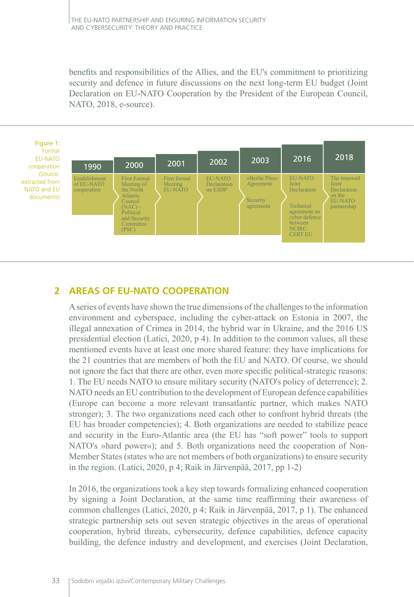benefits and responsibilities of the Allies, and the EU's commitment to prioritizing security and defence in future discussions on the next long-term EU budget (Joint Declaration on EU-NATO Cooperation by the President of the European Council, NATO, 2018, e-source).



# **2 AREAS OF EU-NATO COOPERATION**

A series of events have shown the true dimensions of the challenges to the information environment and cyberspace, including the cyber-attack on Estonia in 2007, the illegal annexation of Crimea in 2014, the hybrid war in Ukraine, and the 2016 US presidential election (Latici, 2020, p 4). In addition to the common values, all these mentioned events have at least one more shared feature: they have implications for the 21 countries that are members of both the EU and NATO. Of course, we should not ignore the fact that there are other, even more specific political-strategic reasons: 1. The EU needs NATO to ensure military security (NATO's policy of deterrence); 2. NATO needs an EU contribution to the development of European defence capabilities (Europe can become a more relevant transatlantic partner, which makes NATO stronger); 3. The two organizations need each other to confront hybrid threats (the EU has broader competencies); 4. Both organizations are needed to stabilize peace and security in the Euro-Atlantic area (the EU has "soft power" tools to support NATO's »hard power«); and 5. Both organizations need the cooperation of Non-Member States (states who are not members of both organizations) to ensure security in the region. (Latici, 2020, p 4; Raik in Järvenpää, 2017, pp 1-2)

In 2016, the organizations took a key step towards formalizing enhanced cooperation by signing a Joint Declaration, at the same time reaffirming their awareness of common challenges (Latici, 2020, p 4; Raik in Järvenpää, 2017, p 1). The enhanced strategic partnership sets out seven strategic objectives in the areas of operational cooperation, hybrid threats, cybersecurity, defence capabilities, defence capacity building, the defence industry and development, and exercises (Joint Declaration,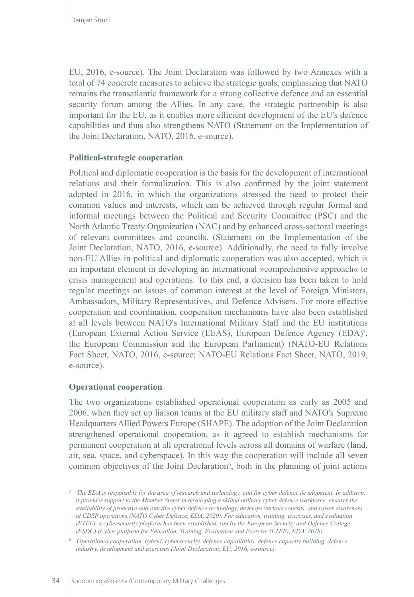EU, 2016, e-source). The Joint Declaration was followed by two Annexes with a total of 74 concrete measures to achieve the strategic goals, emphasizing that NATO remains the transatlantic framework for a strong collective defence and an essential security forum among the Allies. In any case, the strategic partnership is also important for the EU, as it enables more efficient development of the EU's defence capabilities and thus also strengthens NATO (Statement on the Implementation of the Joint Declaration, NATO, 2016, e-source).

#### **Political-strategic cooperation**

Political and diplomatic cooperation is the basis for the development of international relations and their formalization. This is also confirmed by the joint statement adopted in 2016, in which the organizations stressed the need to protect their common values and interests, which can be achieved through regular formal and informal meetings between the Political and Security Committee (PSC) and the North Atlantic Treaty Organization (NAC) and by enhanced cross-sectoral meetings of relevant committees and councils. (Statement on the Implementation of the Joint Declaration, NATO, 2016, e-source). Additionally, the need to fully involve non-EU Allies in political and diplomatic cooperation was also accepted, which is an important element in developing an international »comprehensive approach« to crisis management and operations. To this end, a decision has been taken to hold regular meetings on issues of common interest at the level of Foreign Ministers, Ambassadors, Military Representatives, and Defence Advisers. For more effective cooperation and coordination, cooperation mechanisms have also been established at all levels between NATO's International Military Staff and the EU institutions (European External Action Service (EEAS), European Defence Agency (EDA)<sup>5</sup>, the European Commission and the European Parliament) (NATO-EU Relations Fact Sheet, NATO, 2016, e-source; NATO-EU Relations Fact Sheet, NATO, 2019, e-source).

## **Operational cooperation**

The two organizations established operational cooperation as early as 2005 and 2006, when they set up liaison teams at the EU military staff and NATO's Supreme Headquarters Allied Powers Europe (SHAPE). The adoption of the Joint Declaration strengthened operational cooperation, as it agreed to establish mechanisms for permanent cooperation at all operational levels across all domains of warfare (land, air, sea, space, and cyberspace). In this way the cooperation will include all seven common objectives of the Joint Declaration<sup>6</sup>, both in the planning of joint actions

*<sup>5</sup> The EDA is responsible for the area of research and technology, and for cyber defence development. In addition, it provides support to the Member States in developing a skilled military cyber defence workforce, ensures the availability of proactive and reactive cyber defence technology, develops various courses, and raises awareness of CDSP operations (NATO Cyber Defence, EDA, 2020). For education, training, exercises, and evaluation (ETEE), a cybersecurity platform has been established, run by the European Security and Defence College (ESDC) (Cyber platform for Education, Training, Evaluation and Exercise (ETEE), EDA, 2018).*

*<sup>6</sup> Operational cooperation, hybrid, cybersecurity, defence capabilities, defence capacity building, defence industry, development and exercises (Joint Declaration, EU, 2016, e-source).*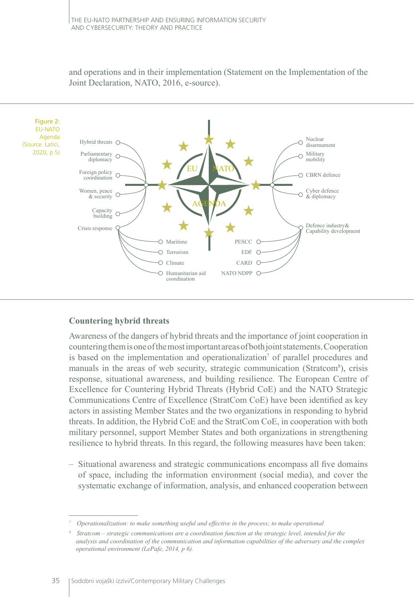and operations and in their implementation (Statement on the Implementation of the Joint Declaration, NATO, 2016, e-source).



#### **Countering hybrid threats**

Awareness of the dangers of hybrid threats and the importance of joint cooperation in countering them is one of the most important areas of both joint statements. Cooperation is based on the implementation and operationalization<sup>7</sup> of parallel procedures and manuals in the areas of web security, strategic communication (Stratcom<sup>8</sup>), crisis response, situational awareness, and building resilience. The European Centre of Excellence for Countering Hybrid Threats (Hybrid CoE) and the NATO Strategic Communications Centre of Excellence (StratCom CoE) have been identified as key actors in assisting Member States and the two organizations in responding to hybrid threats. In addition, the Hybrid CoE and the StratCom CoE, in cooperation with both military personnel, support Member States and both organizations in strengthening resilience to hybrid threats. In this regard, the following measures have been taken:

– Situational awareness and strategic communications encompass all five domains of space, including the information environment (social media), and cover the systematic exchange of information, analysis, and enhanced cooperation between

*<sup>7</sup> Operationalization: to make something useful and effective in the process; to make operational*

*<sup>8</sup> Stratcom – strategic communications are a coordination function at the strategic level, intended for the analysis and coordination of the communication and information capabilities of the adversary and the complex operational environment (LePafe, 2014, p 6).*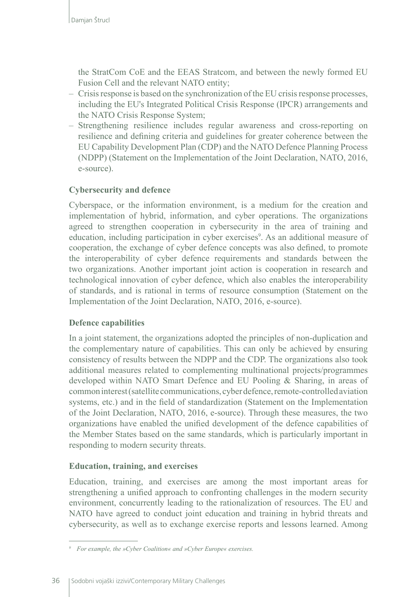the StratCom CoE and the EEAS Stratcom, and between the newly formed EU Fusion Cell and the relevant NATO entity;

- Crisis response is based on the synchronization of the EU crisis response processes, including the EU's Integrated Political Crisis Response (IPCR) arrangements and the NATO Crisis Response System;
- Strengthening resilience includes regular awareness and cross-reporting on resilience and defining criteria and guidelines for greater coherence between the EU Capability Development Plan (CDP) and the NATO Defence Planning Process (NDPP) (Statement on the Implementation of the Joint Declaration, NATO, 2016, e-source).

#### **Cybersecurity and defence**

Cyberspace, or the information environment, is a medium for the creation and implementation of hybrid, information, and cyber operations. The organizations agreed to strengthen cooperation in cybersecurity in the area of training and education, including participation in cyber exercises<sup>9</sup>. As an additional measure of cooperation, the exchange of cyber defence concepts was also defined, to promote the interoperability of cyber defence requirements and standards between the two organizations. Another important joint action is cooperation in research and technological innovation of cyber defence, which also enables the interoperability of standards, and is rational in terms of resource consumption (Statement on the Implementation of the Joint Declaration, NATO, 2016, e-source).

#### **Defence capabilities**

In a joint statement, the organizations adopted the principles of non-duplication and the complementary nature of capabilities. This can only be achieved by ensuring consistency of results between the NDPP and the CDP. The organizations also took additional measures related to complementing multinational projects/programmes developed within NATO Smart Defence and EU Pooling & Sharing, in areas of common interest (satellite communications, cyber defence, remote-controlled aviation systems, etc.) and in the field of standardization (Statement on the Implementation of the Joint Declaration, NATO, 2016, e-source). Through these measures, the two organizations have enabled the unified development of the defence capabilities of the Member States based on the same standards, which is particularly important in responding to modern security threats.

#### **Education, training, and exercises**

Education, training, and exercises are among the most important areas for strengthening a unified approach to confronting challenges in the modern security environment, concurrently leading to the rationalization of resources. The EU and NATO have agreed to conduct joint education and training in hybrid threats and cybersecurity, as well as to exchange exercise reports and lessons learned. Among

*<sup>9</sup> For example, the »Cyber Coalition« and »Cyber Europe« exercises.*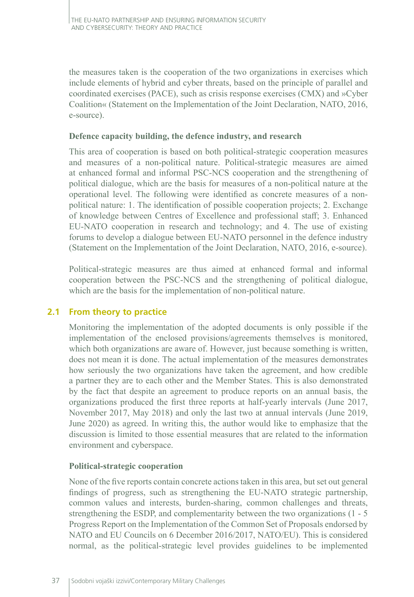the measures taken is the cooperation of the two organizations in exercises which include elements of hybrid and cyber threats, based on the principle of parallel and coordinated exercises (PACE), such as crisis response exercises (CMX) and »Cyber Coalition« (Statement on the Implementation of the Joint Declaration, NATO, 2016, e-source).

#### **Defence capacity building, the defence industry, and research**

This area of cooperation is based on both political-strategic cooperation measures and measures of a non-political nature. Political-strategic measures are aimed at enhanced formal and informal PSC-NCS cooperation and the strengthening of political dialogue, which are the basis for measures of a non-political nature at the operational level. The following were identified as concrete measures of a nonpolitical nature: 1. The identification of possible cooperation projects; 2. Exchange of knowledge between Centres of Excellence and professional staff; 3. Enhanced EU-NATO cooperation in research and technology; and 4. The use of existing forums to develop a dialogue between EU-NATO personnel in the defence industry (Statement on the Implementation of the Joint Declaration, NATO, 2016, e-source).

Political-strategic measures are thus aimed at enhanced formal and informal cooperation between the PSC-NCS and the strengthening of political dialogue, which are the basis for the implementation of non-political nature.

## **2.1 From theory to practice**

Monitoring the implementation of the adopted documents is only possible if the implementation of the enclosed provisions/agreements themselves is monitored, which both organizations are aware of. However, just because something is written, does not mean it is done. The actual implementation of the measures demonstrates how seriously the two organizations have taken the agreement, and how credible a partner they are to each other and the Member States. This is also demonstrated by the fact that despite an agreement to produce reports on an annual basis, the organizations produced the first three reports at half-yearly intervals (June 2017, November 2017, May 2018) and only the last two at annual intervals (June 2019, June 2020) as agreed. In writing this, the author would like to emphasize that the discussion is limited to those essential measures that are related to the information environment and cyberspace.

#### **Political-strategic cooperation**

None of the five reports contain concrete actions taken in this area, but set out general findings of progress, such as strengthening the EU-NATO strategic partnership, common values and interests, burden-sharing, common challenges and threats, strengthening the ESDP, and complementarity between the two organizations (1 - 5 Progress Report on the Implementation of the Common Set of Proposals endorsed by NATO and EU Councils on 6 December 2016/2017, NATO/EU). This is considered normal, as the political-strategic level provides guidelines to be implemented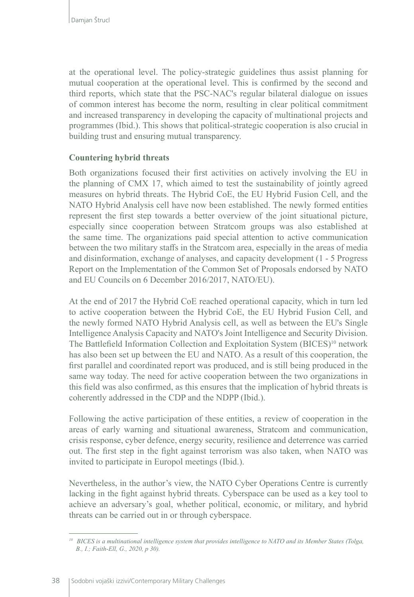at the operational level. The policy-strategic guidelines thus assist planning for mutual cooperation at the operational level. This is confirmed by the second and third reports, which state that the PSC-NAC's regular bilateral dialogue on issues of common interest has become the norm, resulting in clear political commitment and increased transparency in developing the capacity of multinational projects and programmes (Ibid.). This shows that political-strategic cooperation is also crucial in building trust and ensuring mutual transparency.

#### **Countering hybrid threats**

Both organizations focused their first activities on actively involving the EU in the planning of CMX 17, which aimed to test the sustainability of jointly agreed measures on hybrid threats. The Hybrid CoE, the EU Hybrid Fusion Cell, and the NATO Hybrid Analysis cell have now been established. The newly formed entities represent the first step towards a better overview of the joint situational picture, especially since cooperation between Stratcom groups was also established at the same time. The organizations paid special attention to active communication between the two military staffs in the Stratcom area, especially in the areas of media and disinformation, exchange of analyses, and capacity development (1 - 5 Progress Report on the Implementation of the Common Set of Proposals endorsed by NATO and EU Councils on 6 December 2016/2017, NATO/EU).

At the end of 2017 the Hybrid CoE reached operational capacity, which in turn led to active cooperation between the Hybrid CoE, the EU Hybrid Fusion Cell, and the newly formed NATO Hybrid Analysis cell, as well as between the EU's Single Intelligence Analysis Capacity and NATO's Joint Intelligence and Security Division. The Battlefield Information Collection and Exploitation System (BICES)<sup>10</sup> network has also been set up between the EU and NATO. As a result of this cooperation, the first parallel and coordinated report was produced, and is still being produced in the same way today. The need for active cooperation between the two organizations in this field was also confirmed, as this ensures that the implication of hybrid threats is coherently addressed in the CDP and the NDPP (Ibid.).

Following the active participation of these entities, a review of cooperation in the areas of early warning and situational awareness, Stratcom and communication, crisis response, cyber defence, energy security, resilience and deterrence was carried out. The first step in the fight against terrorism was also taken, when NATO was invited to participate in Europol meetings (Ibid.).

Nevertheless, in the author's view, the NATO Cyber Operations Centre is currently lacking in the fight against hybrid threats. Cyberspace can be used as a key tool to achieve an adversary's goal, whether political, economic, or military, and hybrid threats can be carried out in or through cyberspace.

<sup>&</sup>lt;sup>10</sup> BICES is a multinational intelligence system that provides intelligence to NATO and its Member States (Tolga, *B., I.; Faith-Ell, G., 2020, p 30).*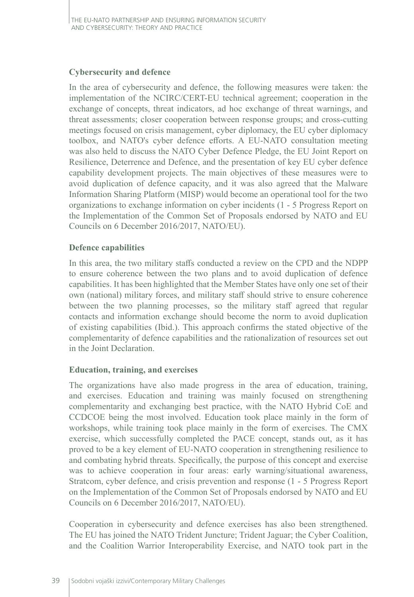#### **Cybersecurity and defence**

In the area of cybersecurity and defence, the following measures were taken: the implementation of the NCIRC/CERT-EU technical agreement; cooperation in the exchange of concepts, threat indicators, ad hoc exchange of threat warnings, and threat assessments; closer cooperation between response groups; and cross-cutting meetings focused on crisis management, cyber diplomacy, the EU cyber diplomacy toolbox, and NATO's cyber defence efforts. A EU-NATO consultation meeting was also held to discuss the NATO Cyber Defence Pledge, the EU Joint Report on Resilience, Deterrence and Defence, and the presentation of key EU cyber defence capability development projects. The main objectives of these measures were to avoid duplication of defence capacity, and it was also agreed that the Malware Information Sharing Platform (MISP) would become an operational tool for the two organizations to exchange information on cyber incidents (1 - 5 Progress Report on the Implementation of the Common Set of Proposals endorsed by NATO and EU Councils on 6 December 2016/2017, NATO/EU).

#### **Defence capabilities**

In this area, the two military staffs conducted a review on the CPD and the NDPP to ensure coherence between the two plans and to avoid duplication of defence capabilities. It has been highlighted that the Member States have only one set of their own (national) military forces, and military staff should strive to ensure coherence between the two planning processes, so the military staff agreed that regular contacts and information exchange should become the norm to avoid duplication of existing capabilities (Ibid.). This approach confirms the stated objective of the complementarity of defence capabilities and the rationalization of resources set out in the Joint Declaration.

#### **Education, training, and exercises**

The organizations have also made progress in the area of education, training, and exercises. Education and training was mainly focused on strengthening complementarity and exchanging best practice, with the NATO Hybrid CoE and CCDCOE being the most involved. Education took place mainly in the form of workshops, while training took place mainly in the form of exercises. The CMX exercise, which successfully completed the PACE concept, stands out, as it has proved to be a key element of EU-NATO cooperation in strengthening resilience to and combating hybrid threats. Specifically, the purpose of this concept and exercise was to achieve cooperation in four areas: early warning/situational awareness, Stratcom, cyber defence, and crisis prevention and response (1 - 5 Progress Report on the Implementation of the Common Set of Proposals endorsed by NATO and EU Councils on 6 December 2016/2017, NATO/EU).

Cooperation in cybersecurity and defence exercises has also been strengthened. The EU has joined the NATO Trident Juncture; Trident Jaguar; the Cyber Coalition, and the Coalition Warrior Interoperability Exercise, and NATO took part in the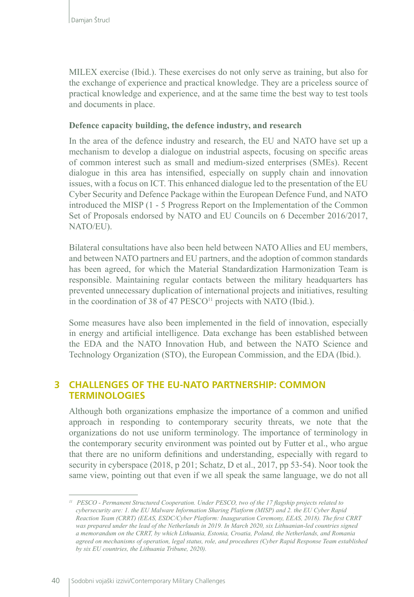MILEX exercise (Ibid.). These exercises do not only serve as training, but also for the exchange of experience and practical knowledge. They are a priceless source of practical knowledge and experience, and at the same time the best way to test tools and documents in place.

#### **Defence capacity building, the defence industry, and research**

In the area of the defence industry and research, the EU and NATO have set up a mechanism to develop a dialogue on industrial aspects, focusing on specific areas of common interest such as small and medium-sized enterprises (SMEs). Recent dialogue in this area has intensified, especially on supply chain and innovation issues, with a focus on ICT. This enhanced dialogue led to the presentation of the EU Cyber Security and Defence Package within the European Defence Fund, and NATO introduced the MISP (1 - 5 Progress Report on the Implementation of the Common Set of Proposals endorsed by NATO and EU Councils on 6 December 2016/2017, NATO/EU).

Bilateral consultations have also been held between NATO Allies and EU members, and between NATO partners and EU partners, and the adoption of common standards has been agreed, for which the Material Standardization Harmonization Team is responsible. Maintaining regular contacts between the military headquarters has prevented unnecessary duplication of international projects and initiatives, resulting in the coordination of 38 of 47  $PESCO<sup>11</sup>$  projects with NATO (Ibid.).

Some measures have also been implemented in the field of innovation, especially in energy and artificial intelligence. Data exchange has been established between the EDA and the NATO Innovation Hub, and between the NATO Science and Technology Organization (STO), the European Commission, and the EDA (Ibid.).

## **3 CHALLENGES OF THE EU-NATO PARTNERSHIP: COMMON TERMINOLOGIES**

Although both organizations emphasize the importance of a common and unified approach in responding to contemporary security threats, we note that the organizations do not use uniform terminology. The importance of terminology in the contemporary security environment was pointed out by Futter et al., who argue that there are no uniform definitions and understanding, especially with regard to security in cyberspace (2018, p 201; Schatz, D et al., 2017, pp 53-54). Noor took the same view, pointing out that even if we all speak the same language, we do not all

*<sup>11</sup> PESCO - Permanent Structured Cooperation. Under PESCO, two of the 17 flagship projects related to cybersecurity are: 1. the EU Malware Information Sharing Platform (MISP) and 2. the EU Cyber Rapid Reaction Team (CRRT) (EEAS, ESDC/Cyber Platform: Inauguration Ceremony, EEAS, 2018). The first CRRT was prepared under the lead of the Netherlands in 2019. In March 2020, six Lithuanian-led countries signed a memorandum on the CRRT, by which Lithuania, Estonia, Croatia, Poland, the Netherlands, and Romania agreed on mechanisms of operation, legal status, role, and procedures (Cyber Rapid Response Team established by six EU countries, the Lithuania Tribune, 2020).*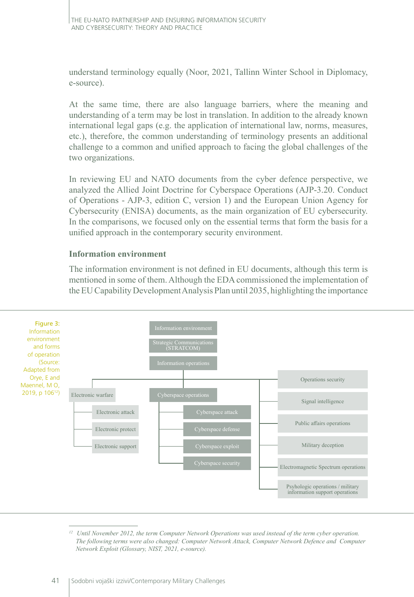understand terminology equally (Noor, 2021, Tallinn Winter School in Diplomacy, e-source).

At the same time, there are also language barriers, where the meaning and understanding of a term may be lost in translation. In addition to the already known international legal gaps (e.g. the application of international law, norms, measures, etc.), therefore, the common understanding of terminology presents an additional challenge to a common and unified approach to facing the global challenges of the two organizations.

In reviewing EU and NATO documents from the cyber defence perspective, we analyzed the Allied Joint Doctrine for Cyberspace Operations (AJP-3.20. Conduct of Operations - AJP-3, edition C, version 1) and the European Union Agency for Cybersecurity (ENISA) documents, as the main organization of EU cybersecurity. In the comparisons, we focused only on the essential terms that form the basis for a unified approach in the contemporary security environment.

#### **Information environment**

The information environment is not defined in EU documents, although this term is mentioned in some of them. Although the EDA commissioned the implementation of the EU Capability Development Analysis Plan until 2035, highlighting the importance



*<sup>12</sup> Until November 2012, the term Computer Network Operations was used instead of the term cyber operation. The following terms were also changed: Computer Network Attack, Computer Network Defence and Computer Network Exploit (Glossary, NIST, 2021, e-source).*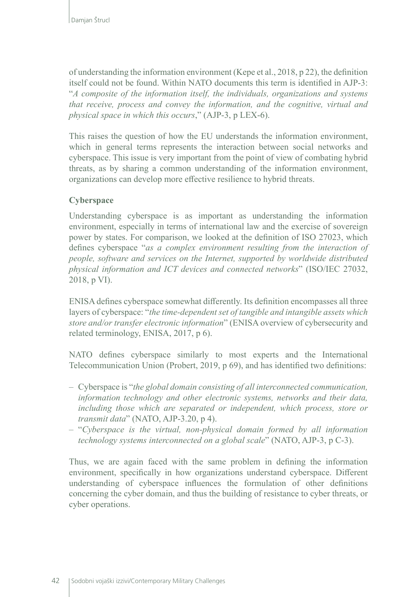of understanding the information environment (Kepe et al., 2018, p 22), the definition itself could not be found. Within NATO documents this term is identified in AJP-3: "*A composite of the information itself, the individuals, organizations and systems that receive, process and convey the information, and the cognitive, virtual and physical space in which this occurs*," (AJP-3, p LEX-6).

This raises the question of how the EU understands the information environment, which in general terms represents the interaction between social networks and cyberspace. This issue is very important from the point of view of combating hybrid threats, as by sharing a common understanding of the information environment, organizations can develop more effective resilience to hybrid threats.

## **Cyberspace**

Understanding cyberspace is as important as understanding the information environment, especially in terms of international law and the exercise of sovereign power by states. For comparison, we looked at the definition of ISO 27023, which defines cyberspace "*as a complex environment resulting from the interaction of people, software and services on the Internet, supported by worldwide distributed physical information and ICT devices and connected networks*" (ISO/IEC 27032, 2018, p VI).

ENISA defines cyberspace somewhat differently. Its definition encompasses all three layers of cyberspace: "*the time-dependent set of tangible and intangible assets which store and/or transfer electronic information*" (ENISA overview of cybersecurity and related terminology, ENISA, 2017, p 6).

NATO defines cyberspace similarly to most experts and the International Telecommunication Union (Probert, 2019, p 69), and has identified two definitions:

- Cyberspace is "*the global domain consisting of all interconnected communication, information technology and other electronic systems, networks and their data, including those which are separated or independent, which process, store or transmit data*" (NATO, AJP-3.20, p 4).
- "*Cyberspace is the virtual, non-physical domain formed by all information technology systems interconnected on a global scale*" (NATO, AJP-3, p C-3).

Thus, we are again faced with the same problem in defining the information environment, specifically in how organizations understand cyberspace. Different understanding of cyberspace influences the formulation of other definitions concerning the cyber domain, and thus the building of resistance to cyber threats, or cyber operations.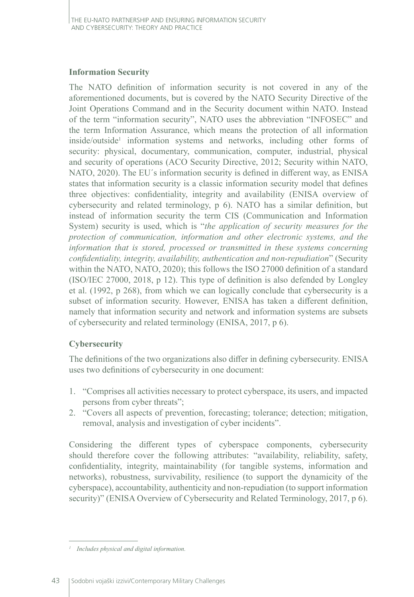#### **Information Security**

The NATO definition of information security is not covered in any of the aforementioned documents, but is covered by the NATO Security Directive of the Joint Operations Command and in the Security document within NATO. Instead of the term "information security", NATO uses the abbreviation "INFOSEC" and the term Information Assurance, which means the protection of all information inside/outside<sup>1</sup> information systems and networks, including other forms of security: physical, documentary, communication, computer, industrial, physical and security of operations (ACO Security Directive, 2012; Security within NATO, NATO, 2020). The EU´s information security is defined in different way, as ENISA states that information security is a classic information security model that defines three objectives: confidentiality, integrity and availability (ENISA overview of cybersecurity and related terminology, p 6). NATO has a similar definition, but instead of information security the term CIS (Communication and Information System) security is used, which is "*the application of security measures for the protection of communication, information and other electronic systems, and the information that is stored, processed or transmitted in these systems concerning confidentiality, integrity, availability, authentication and non-repudiation*" (Security within the NATO, NATO, 2020); this follows the ISO 27000 definition of a standard (ISO/IEC 27000, 2018, p 12). This type of definition is also defended by Longley et al. (1992, p 268), from which we can logically conclude that cybersecurity is a subset of information security. However, ENISA has taken a different definition, namely that information security and network and information systems are subsets of cybersecurity and related terminology (ENISA, 2017, p 6).

## **Cybersecurity**

The definitions of the two organizations also differ in defining cybersecurity. ENISA uses two definitions of cybersecurity in one document:

- 1. "Comprises all activities necessary to protect cyberspace, its users, and impacted persons from cyber threats";
- 2. "Covers all aspects of prevention, forecasting; tolerance; detection; mitigation, removal, analysis and investigation of cyber incidents".

Considering the different types of cyberspace components, cybersecurity should therefore cover the following attributes: "availability, reliability, safety, confidentiality, integrity, maintainability (for tangible systems, information and networks), robustness, survivability, resilience (to support the dynamicity of the cyberspace), accountability, authenticity and non-repudiation (to support information security)" (ENISA Overview of Cybersecurity and Related Terminology, 2017, p 6).

*<sup>1</sup> Includes physical and digital information.*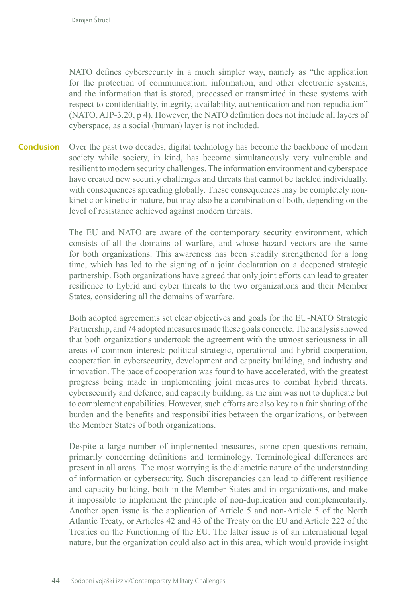NATO defines cybersecurity in a much simpler way, namely as "the application for the protection of communication, information, and other electronic systems, and the information that is stored, processed or transmitted in these systems with respect to confidentiality, integrity, availability, authentication and non-repudiation" (NATO, AJP-3.20, p 4). However, the NATO definition does not include all layers of cyberspace, as a social (human) layer is not included.

Over the past two decades, digital technology has become the backbone of modern society while society, in kind, has become simultaneously very vulnerable and resilient to modern security challenges. The information environment and cyberspace have created new security challenges and threats that cannot be tackled individually, with consequences spreading globally. These consequences may be completely nonkinetic or kinetic in nature, but may also be a combination of both, depending on the level of resistance achieved against modern threats. **Conclusion**

> The EU and NATO are aware of the contemporary security environment, which consists of all the domains of warfare, and whose hazard vectors are the same for both organizations. This awareness has been steadily strengthened for a long time, which has led to the signing of a joint declaration on a deepened strategic partnership. Both organizations have agreed that only joint efforts can lead to greater resilience to hybrid and cyber threats to the two organizations and their Member States, considering all the domains of warfare.

> Both adopted agreements set clear objectives and goals for the EU-NATO Strategic Partnership, and 74 adopted measures made these goals concrete. The analysis showed that both organizations undertook the agreement with the utmost seriousness in all areas of common interest: political-strategic, operational and hybrid cooperation, cooperation in cybersecurity, development and capacity building, and industry and innovation. The pace of cooperation was found to have accelerated, with the greatest progress being made in implementing joint measures to combat hybrid threats, cybersecurity and defence, and capacity building, as the aim was not to duplicate but to complement capabilities. However, such efforts are also key to a fair sharing of the burden and the benefits and responsibilities between the organizations, or between the Member States of both organizations.

> Despite a large number of implemented measures, some open questions remain, primarily concerning definitions and terminology. Terminological differences are present in all areas. The most worrying is the diametric nature of the understanding of information or cybersecurity. Such discrepancies can lead to different resilience and capacity building, both in the Member States and in organizations, and make it impossible to implement the principle of non-duplication and complementarity. Another open issue is the application of Article 5 and non-Article 5 of the North Atlantic Treaty, or Articles 42 and 43 of the Treaty on the EU and Article 222 of the Treaties on the Functioning of the EU. The latter issue is of an international legal nature, but the organization could also act in this area, which would provide insight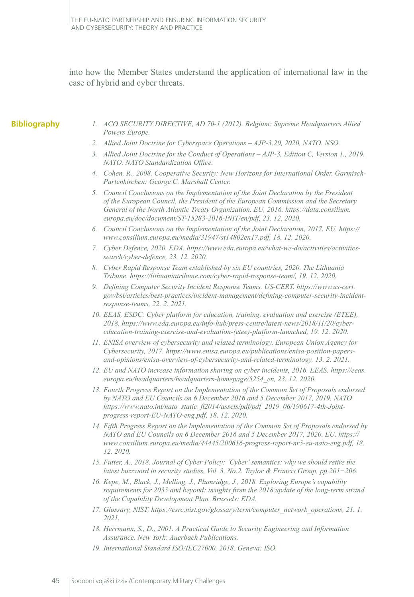into how the Member States understand the application of international law in the case of hybrid and cyber threats.

#### **Bibliography**

- *1. ACO SECURITY DIRECTIVE, AD 70-1 (2012). Belgium: Supreme Headquarters Allied Powers Europe.*
- *2. Allied Joint Doctrine for Cyberspace Operations AJP-3.20, 2020, NATO. NSO.*
- *3. Allied Joint Doctrine for the Conduct of Operations AJP-3, Edition C, Version 1., 2019. NATO. NATO Standardization Office.*
- *4. Cohen, R., 2008. Cooperative Security: New Horizons for International Order. Garmisch-Partenkirchen: George C. Marshall Center.*
- *5. Council Conclusions on the Implementation of the Joint Declaration by the President of the European Council, the President of the European Commission and the Secretary General of the North Atlantic Treaty Organization. EU, 2016. https://data.consilium. europa.eu/doc/document/ST-15283-2016-INIT/en/pdf, 23. 12. 2020.*
- *6. Council Conclusions on the Implementation of the Joint Declaration, 2017. EU. https:// www.consilium.europa.eu/media/31947/st14802en17.pdf, 18. 12. 2020.*
- *7. Cyber Defence, 2020. EDA. https://www.eda.europa.eu/what-we-do/activities/activitiessearch/cyber-defence, 23. 12. 2020.*
- *8. Cyber Rapid Response Team established by six EU countries, 2020. The Lithuania Tribune. https://lithuaniatribune.com/cyber-rapid-response-team/, 19. 12. 2020.*
- *9. Defining Computer Security Incident Response Teams. US-CERT. https://www.us-cert. gov/bsi/articles/best-practices/incident-management/defining-computer-security-incidentresponse-teams, 22. 2. 2021.*
- *10. EEAS, ESDC: Cyber platform for education, training, evaluation and exercise (ETEE), 2018. https://www.eda.europa.eu/info-hub/press-centre/latest-news/2018/11/20/cybereducation-training-exercise-and-evaluation-(etee)-platform-launched, 19. 12. 2020.*
- *11. ENISA overview of cybersecurity and related terminology. European Union Agency for Cybersecurity, 2017. https://www.enisa.europa.eu/publications/enisa-position-papersand-opinions/enisa-overview-of-cybersecurity-and-related-terminology, 13. 2. 2021.*
- *12. EU and NATO increase information sharing on cyber incidents, 2016. EEAS. https://eeas. europa.eu/headquarters/headquarters-homepage/5254\_en, 23. 12. 2020.*
- *13. Fourth Progress Report on the Implementation of the Common Set of Proposals endorsed by NATO and EU Councils on 6 December 2016 and 5 December 2017, 2019. NATO https://www.nato.int/nato\_static\_fl2014/assets/pdf/pdf\_2019\_06/190617-4th-Jointprogress-report-EU-NATO-eng.pdf, 18. 12. 2020.*
- *14. Fifth Progress Report on the Implementation of the Common Set of Proposals endorsed by NATO and EU Councils on 6 December 2016 and 5 December 2017, 2020. EU. https:// www.consilium.europa.eu/media/44445/200616-progress-report-nr5-eu-nato-eng.pdf, 18. 12. 2020.*
- *15. Futter, A., 2018. Journal of Cyber Policy: 'Cyber' semantics: why we should retire the latest buzzword in security studies, Vol. 3, No.2. Taylor & Francis Group, pp 201−206.*
- *16. Kepe, M., Black, J., Melling, J., Plumridge, J., 2018. Exploring Europe's capability requirements for 2035 and beyond: insights from the 2018 update of the long-term strand of the Capability Development Plan. Brussels: EDA.*
- *17. Glossary, NIST, https://csrc.nist.gov/glossary/term/computer\_network\_operations, 21. 1. 2021.*
- *18. Herrmann, S., D., 2001. A Practical Guide to Security Engineering and Information Assurance. New York: Auerbach Publications.*
- *19. International Standard ISO/IEC27000, 2018. Geneva: ISO.*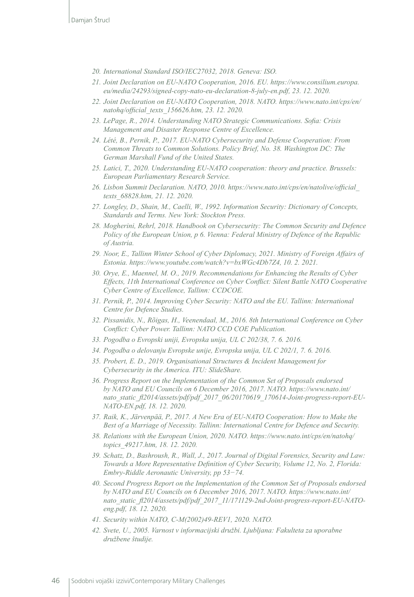- *20. International Standard ISO/IEC27032, 2018. Geneva: ISO.*
- *21. Joint Declaration on EU-NATO Cooperation, 2016. EU. https://www.consilium.europa. eu/media/24293/signed-copy-nato-eu-declaration-8-july-en.pdf, 23. 12. 2020.*
- *22. Joint Declaration on EU-NATO Cooperation, 2018. NATO. https://www.nato.int/cps/en/ natohq/official\_texts\_156626.htm, 23. 12. 2020.*
- *23. LePage, R., 2014. Understanding NATO Strategic Communications. Sofia: Crisis Management and Disaster Response Centre of Excellence.*
- *24. Lété, B., Pernik, P., 2017. EU-NATO Cybersecurity and Defense Cooperation: From Common Threats to Common Solutions. Policy Brief, No. 38. Washington DC: The German Marshall Fund of the United States.*
- *25. Latici, T., 2020. Understanding EU-NATO cooperation: theory and practice. Brussels: European Parliamentary Research Service.*
- *26. Lisbon Summit Declaration. NATO, 2010. https://www.nato.int/cps/en/natolive/official\_ texts\_68828.htm, 21. 12. 2020.*
- *27. Longley, D., Shain, M., Caelli, W., 1992. Information Security: Dictionary of Concepts, Standards and Terms. New York: Stockton Press.*
- *28. Mogherini, Rehrl, 2018. Handbook on Cybersecurity: The Common Security and Defence Policy of the European Union, p 6. Vienna: Federal Ministry of Defence of the Republic of Austria.*
- *29. Noor, E., Tallinn Winter School of Cyber Diplomacy, 2021. Ministry of Foreign Affairs of Estonia. https://www.youtube.com/watch?v=bxWGc4Db7Z4, 10. 2. 2021.*
- *30. Orye, E., Maennel, M. O., 2019. Recommendations for Enhancing the Results of Cyber Effects, 11th International Conference on Cyber Conflict: Silent Battle NATO Cooperative Cyber Centre of Excellence, Tallinn: CCDCOE.*
- *31. Pernik, P., 2014. Improving Cyber Security: NATO and the EU. Tallinn: International Centre for Defence Studies.*
- *32. Pissanidis, N., Rõigas, H., Veenendaal, M., 2016. 8th International Conference on Cyber Conflict: Cyber Power. Tallinn: NATO CCD COE Publication.*
- *33. Pogodba o Evropski uniji, Evropska unija, UL C 202/38, 7. 6. 2016.*
- *34. Pogodba o delovanju Evropske unije, Evropska unija, UL C 202/1, 7. 6. 2016.*
- *35. Probert, E. D., 2019. Organisational Structures & Incident Management for Cybersecurity in the America. ITU: SlideShare.*
- *36. Progress Report on the Implementation of the Common Set of Proposals endorsed by NATO and EU Councils on 6 December 2016, 2017. NATO. https://www.nato.int/ nato\_static\_fl2014/assets/pdf/pdf\_2017\_06/20170619\_170614-Joint-progress-report-EU-NATO-EN.pdf, 18. 12. 2020.*
- *37. Raik, K., Järvenpää, P., 2017. A New Era of EU-NATO Cooperation: How to Make the Best of a Marriage of Necessity. Tallinn: International Centre for Defence and Security.*
- *38. Relations with the European Union, 2020. NATO. https://www.nato.int/cps/en/natohq/ topics\_49217.htm, 18. 12. 2020.*
- *39. Schatz, D., Bashroush, R., Wall, J., 2017. Journal of Digital Forensics, Security and Law: Towards a More Representative Definition of Cyber Security, Volume 12, No. 2, Florida: Embry-Riddle Aeronautic University, pp 53−74.*
- *40. Second Progress Report on the Implementation of the Common Set of Proposals endorsed by NATO and EU Councils on 6 December 2016, 2017. NATO. https://www.nato.int/ nato\_static\_fl2014/assets/pdf/pdf\_2017\_11/171129-2nd-Joint-progress-report-EU-NATOeng.pdf, 18. 12. 2020.*
- *41. Security within NATO, C-M(2002)49-REV1, 2020. NATO.*
- *42. Svete, U., 2005. Varnost v informacijski družbi. Ljubljana: Fakulteta za uporabne družbene študije.*